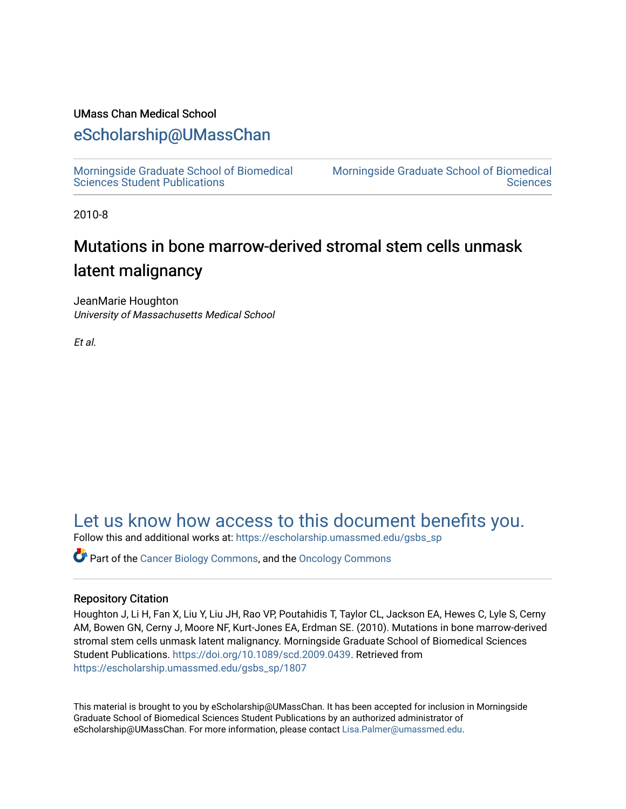## UMass Chan Medical School

## [eScholarship@UMassChan](https://escholarship.umassmed.edu/)

[Morningside Graduate School of Biomedical](https://escholarship.umassmed.edu/gsbs_sp)  [Sciences Student Publications](https://escholarship.umassmed.edu/gsbs_sp) 

[Morningside Graduate School of Biomedical](https://escholarship.umassmed.edu/gsbs)  **Sciences** 

2010-8

# Mutations in bone marrow-derived stromal stem cells unmask latent malignancy

JeanMarie Houghton University of Massachusetts Medical School

Et al.

## [Let us know how access to this document benefits you.](https://arcsapps.umassmed.edu/redcap/surveys/?s=XWRHNF9EJE)

Follow this and additional works at: [https://escholarship.umassmed.edu/gsbs\\_sp](https://escholarship.umassmed.edu/gsbs_sp?utm_source=escholarship.umassmed.edu%2Fgsbs_sp%2F1807&utm_medium=PDF&utm_campaign=PDFCoverPages)

Part of the [Cancer Biology Commons,](http://network.bepress.com/hgg/discipline/12?utm_source=escholarship.umassmed.edu%2Fgsbs_sp%2F1807&utm_medium=PDF&utm_campaign=PDFCoverPages) and the [Oncology Commons](http://network.bepress.com/hgg/discipline/694?utm_source=escholarship.umassmed.edu%2Fgsbs_sp%2F1807&utm_medium=PDF&utm_campaign=PDFCoverPages) 

## Repository Citation

Houghton J, Li H, Fan X, Liu Y, Liu JH, Rao VP, Poutahidis T, Taylor CL, Jackson EA, Hewes C, Lyle S, Cerny AM, Bowen GN, Cerny J, Moore NF, Kurt-Jones EA, Erdman SE. (2010). Mutations in bone marrow-derived stromal stem cells unmask latent malignancy. Morningside Graduate School of Biomedical Sciences Student Publications. <https://doi.org/10.1089/scd.2009.0439>. Retrieved from [https://escholarship.umassmed.edu/gsbs\\_sp/1807](https://escholarship.umassmed.edu/gsbs_sp/1807?utm_source=escholarship.umassmed.edu%2Fgsbs_sp%2F1807&utm_medium=PDF&utm_campaign=PDFCoverPages) 

This material is brought to you by eScholarship@UMassChan. It has been accepted for inclusion in Morningside Graduate School of Biomedical Sciences Student Publications by an authorized administrator of eScholarship@UMassChan. For more information, please contact [Lisa.Palmer@umassmed.edu](mailto:Lisa.Palmer@umassmed.edu).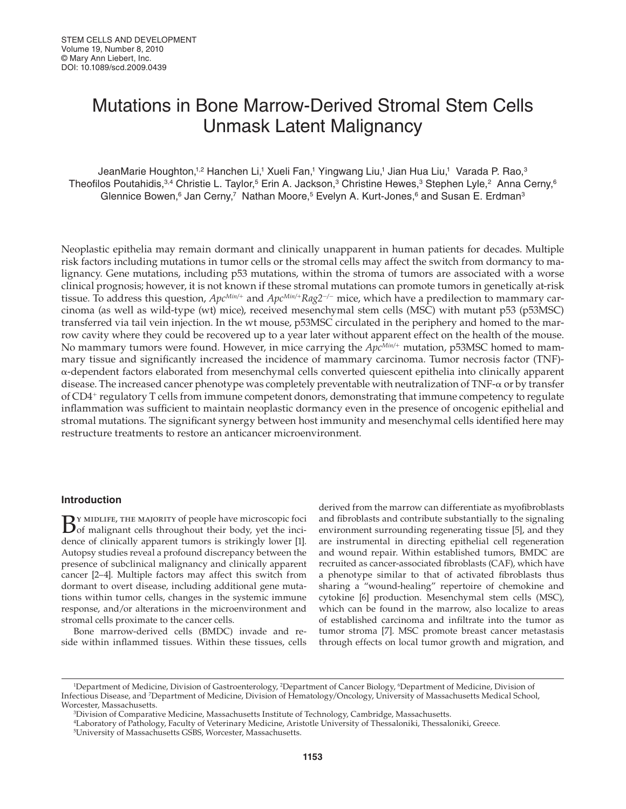# Mutations in Bone Marrow-Derived Stromal Stem Cells Unmask Latent Malignancy

JeanMarie Houghton,1<sup>,2</sup> Hanchen Li,1 Xueli Fan,1 Yingwang Liu,1 Jian Hua Liu,1 Varada P. Rao,<sup>3</sup> Theofilos Poutahidis,<sup>3,4</sup> Christie L. Taylor,<sup>5</sup> Erin A. Jackson,<sup>3</sup> Christine Hewes,<sup>3</sup> Stephen Lyle,<sup>2</sup> Anna Cerny,<sup>6</sup> Glennice Bowen,<sup>6</sup> Jan Cerny,<sup>7</sup> Nathan Moore,<sup>5</sup> Evelyn A. Kurt-Jones,<sup>6</sup> and Susan E. Erdman<sup>3</sup>

 Neoplastic epithelia may remain dormant and clinically unapparent in human patients for decades. Multiple risk factors including mutations in tumor cells or the stromal cells may affect the switch from dormancy to malignancy. Gene mutations, including p53 mutations, within the stroma of tumors are associated with a worse clinical prognosis; however, it is not known if these stromal mutations can promote tumors in genetically at-risk tissue. To address this question, *ApcMin/*<sup>+</sup> and *ApcMin/*<sup>+</sup>*Rag2*<sup>−</sup>*/*<sup>−</sup> mice, which have a predilection to mammary carcinoma (as well as wild-type (wt) mice), received mesenchymal stem cells (MSC) with mutant p53 (p53MSC) transferred via tail vein injection. In the wt mouse, p53MSC circulated in the periphery and homed to the marrow cavity where they could be recovered up to a year later without apparent effect on the health of the mouse. No mammary tumors were found. However, in mice carrying the *ApcMin/*<sup>+</sup> mutation, p53MSC homed to mammary tissue and significantly increased the incidence of mammary carcinoma. Tumor necrosis factor (TNF)α-dependent factors elaborated from mesenchymal cells converted quiescent epithelia into clinically apparent disease. The increased cancer phenotype was completely preventable with neutralization of TNF-α or by transfer of CD4<sup>+</sup> regulatory T cells from immune competent donors, demonstrating that immune competency to regulate inflammation was sufficient to maintain neoplastic dormancy even in the presence of oncogenic epithelial and stromal mutations. The significant synergy between host immunity and mesenchymal cells identified here may restructure treatments to restore an anticancer microenvironment.

### **Introduction**

By MIDLIFE, THE MAJORITY of people have microscopic foci of malignant cells throughout their body, yet the incidence of clinically apparent tumors is strikingly lower [1]. Autopsy studies reveal a profound discrepancy between the presence of subclinical malignancy and clinically apparent cancer [2-4]. Multiple factors may affect this switch from dormant to overt disease, including additional gene mutations within tumor cells, changes in the systemic immune response, and/or alterations in the microenvironment and stromal cells proximate to the cancer cells.

 Bone marrow-derived cells (BMDC) invade and reside within inflammed tissues. Within these tissues, cells

derived from the marrow can differentiate as myofibroblasts and fibroblasts and contribute substantially to the signaling environment surrounding regenerating tissue [5], and they are instrumental in directing epithelial cell regeneration and wound repair. Within established tumors, BMDC are recruited as cancer-associated fibroblasts (CAF), which have a phenotype similar to that of activated fibroblasts thus sharing a "wound-healing" repertoire of chemokine and cytokine [6] production. Mesenchymal stem cells (MSC), which can be found in the marrow, also localize to areas of established carcinoma and infiltrate into the tumor as tumor stroma [7]. MSC promote breast cancer metastasis through effects on local tumor growth and migration, and

3 Division of Comparative Medicine, Massachusetts Institute of Technology, Cambridge, Massachusetts.

<sup>&</sup>lt;sup>1</sup>Department of Medicine, Division of Gastroenterology, <sup>2</sup>Department of Cancer Biology, <sup>6</sup>Department of Medicine, Division of Infectious Disease, and 7 Department of Medicine, Division of Hematology/Oncology, University of Massachusetts Medical School, Worcester, Massachusetts.

<sup>4</sup> Laboratory of Pathology, Faculty of Veterinary Medicine, Aristotle University of Thessaloniki, Thessaloniki, Greece. 5 University of Massachusetts GSBS, Worcester, Massachusetts.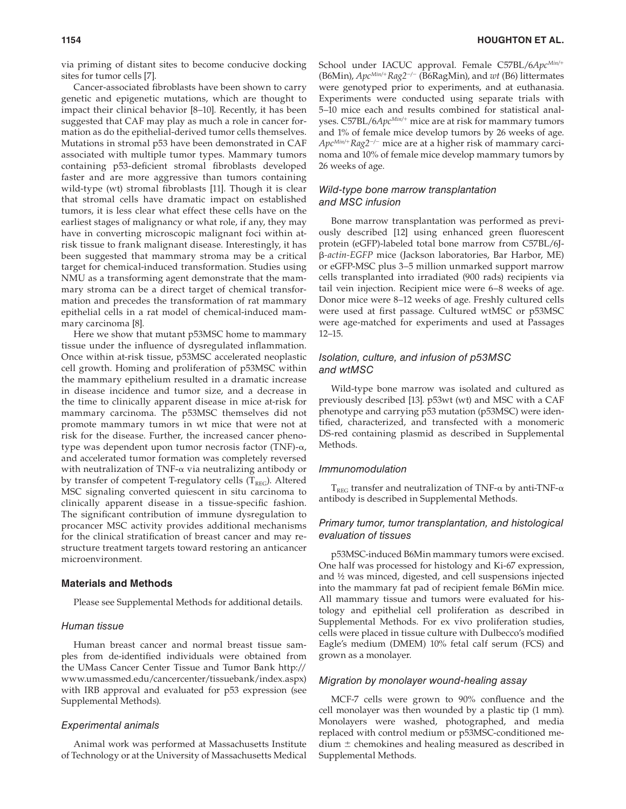via priming of distant sites to become conducive docking sites for tumor cells [7].

Cancer-associated fibroblasts have been shown to carry genetic and epigenetic mutations, which are thought to impact their clinical behavior [8–10]. Recently, it has been suggested that CAF may play as much a role in cancer formation as do the epithelial-derived tumor cells themselves. Mutations in stromal p53 have been demonstrated in CAF associated with multiple tumor types. Mammary tumors containing p53-deficient stromal fibroblasts developed faster and are more aggressive than tumors containing wild-type (wt) stromal fibroblasts [11]. Though it is clear that stromal cells have dramatic impact on established tumors, it is less clear what effect these cells have on the earliest stages of malignancy or what role, if any, they may have in converting microscopic malignant foci within atrisk tissue to frank malignant disease. Interestingly, it has been suggested that mammary stroma may be a critical target for chemical-induced transformation. Studies using NMU as a transforming agent demonstrate that the mammary stroma can be a direct target of chemical transformation and precedes the transformation of rat mammary epithelial cells in a rat model of chemical-induced mammary carcinoma [8].

 Here we show that mutant p53MSC home to mammary tissue under the influence of dysregulated inflammation. Once within at-risk tissue, p53MSC accelerated neoplastic cell growth. Homing and proliferation of p53MSC within the mammary epithelium resulted in a dramatic increase in disease incidence and tumor size, and a decrease in the time to clinically apparent disease in mice at-risk for mammary carcinoma. The p53MSC themselves did not promote mammary tumors in wt mice that were not at risk for the disease. Further, the increased cancer phenotype was dependent upon tumor necrosis factor (TNF)-α, and accelerated tumor formation was completely reversed with neutralization of TNF-α via neutralizing antibody or by transfer of competent T-regulatory cells  $(T_{REG})$ . Altered MSC signaling converted quiescent in situ carcinoma to clinically apparent disease in a tissue-specific fashion. The significant contribution of immune dysregulation to procancer MSC activity provides additional mechanisms for the clinical stratification of breast cancer and may restructure treatment targets toward restoring an anticancer microenvironment.

### **Materials and Methods**

Please see Supplemental Methods for additional details.

#### Human tissue

 Human breast cancer and normal breast tissue samples from de-identified individuals were obtained from the UMass Cancer Center Tissue and Tumor Bank http:// www.umassmed.edu/cancercenter/tissuebank/index.aspx) with IRB approval and evaluated for p53 expression (see Supplemental Methods).

#### Experimental animals

 Animal work was performed at Massachusetts Institute of Technology or at the University of Massachusetts Medical School under IACUC approval. Female C57BL/6ApcMin/+ (B6Min), *ApcMin/*<sup>+</sup>*Rag2*<sup>−</sup>*/*<sup>−</sup> (B6RagMin), and *wt* (B6) littermates were genotyped prior to experiments, and at euthanasia. Experiments were conducted using separate trials with 5–10 mice each and results combined for statistical analyses. C57BL/6*Apc<sup>Min/+</sup>* mice are at risk for mammary tumors and 1% of female mice develop tumors by 26 weeks of age. *ApcMin/*<sup>+</sup>*Rag2*<sup>−</sup>*/*<sup>−</sup> mice are at a higher risk of mammary carcinoma and 10% of female mice develop mammary tumors by 26 weeks of age.

#### Wild-type bone marrow transplantation and MSC infusion

 Bone marrow transplantation was performed as previously described [12] using enhanced green fluorescent protein (eGFP)-labeled total bone marrow from C57BL/6Jβ*-actin-EGFP* mice (Jackson laboratories, Bar Harbor, ME) or eGFP-MSC plus 3–5 million unmarked support marrow cells transplanted into irradiated (900 rads) recipients via tail vein injection. Recipient mice were 6–8 weeks of age. Donor mice were 8–12 weeks of age. Freshly cultured cells were used at first passage. Cultured wtMSC or p53MSC were age-matched for experiments and used at Passages 12–15.

### Isolation, culture, and infusion of p53MSC and wtMSC

 Wild-type bone marrow was isolated and cultured as previously described [13]. p53wt (wt) and MSC with a CAF phenotype and carrying p53 mutation (p53MSC) were identified, characterized, and transfected with a monomeric DS-red containing plasmid as described in Supplemental Methods.

#### Immunomodulation

 $T_{REG}$  transfer and neutralization of TNF-α by anti-TNF-α antibody is described in Supplemental Methods.

### Primary tumor, tumor transplantation, and histological evaluation of tissues

 p53MSC-induced B6Min mammary tumors were excised. One half was processed for histology and Ki-67 expression, and ½ was minced, digested, and cell suspensions injected into the mammary fat pad of recipient female B6Min mice. All mammary tissue and tumors were evaluated for histology and epithelial cell proliferation as described in Supplemental Methods. For ex vivo proliferation studies, cells were placed in tissue culture with Dulbecco's modified Eagle's medium (DMEM) 10% fetal calf serum (FCS) and grown as a monolayer.

#### Migration by monolayer wound-healing assay

MCF-7 cells were grown to 90% confluence and the cell monolayer was then wounded by a plastic tip (1 mm). Monolayers were washed, photographed, and media replaced with control medium or p53MSC-conditioned me $dium \pm$  chemokines and healing measured as described in Supplemental Methods.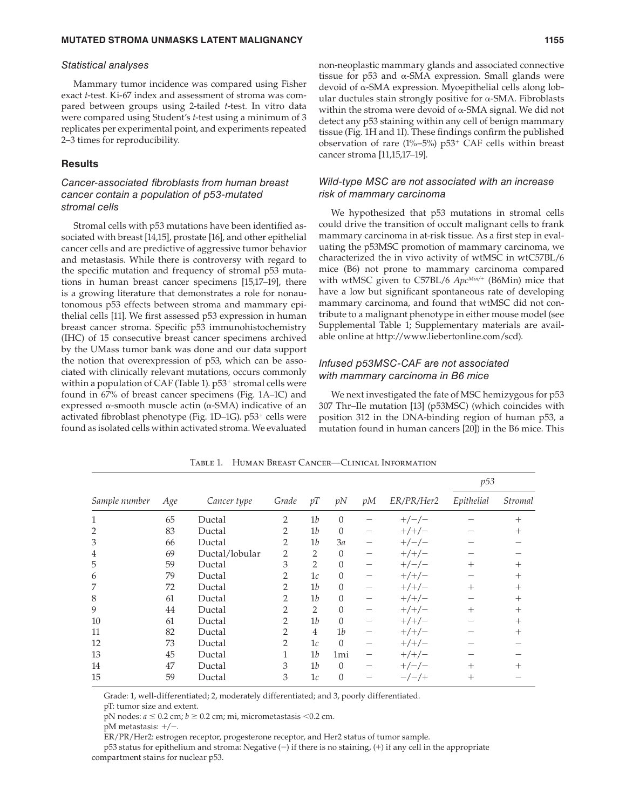#### Statistical analyses

 Mammary tumor incidence was compared using Fisher exact *t*-test. Ki-67 index and assessment of stroma was compared between groups using 2-tailed *t*-test. In vitro data were compared using Student's *t* -test using a minimum of 3 replicates per experimental point, and experiments repeated 2–3 times for reproducibility.

#### **Results**

## Cancer-associated fibroblasts from human breast cancer contain a population of p53-mutated stromal cells

Stromal cells with p53 mutations have been identified associated with breast [14,15], prostate [16], and other epithelial cancer cells and are predictive of aggressive tumor behavior and metastasis. While there is controversy with regard to the specific mutation and frequency of stromal p53 mutations in human breast cancer specimens [15,17–19], there is a growing literature that demonstrates a role for nonautonomous p53 effects between stroma and mammary epithelial cells [11]. We first assessed p53 expression in human breast cancer stroma. Specific p53 immunohistochemistry (IHC) of 15 consecutive breast cancer specimens archived by the UMass tumor bank was done and our data support the notion that overexpression of p53, which can be associated with clinically relevant mutations, occurs commonly within a population of CAF (Table 1).  $p53^+$  stromal cells were found in 67% of breast cancer specimens (Fig. 1A–1C) and expressed  $α$ -smooth muscle actin  $(α$ -SMA) indicative of an activated fibroblast phenotype (Fig.  $1D-1G$ ).  $p53^+$  cells were found as isolated cells within activated stroma. We evaluated

non-neoplastic mammary glands and associated connective tissue for  $p53$  and  $\alpha$ -SMA expression. Small glands were devoid of α-SMA expression. Myoepithelial cells along lobular ductules stain strongly positive for  $α$ -SMA. Fibroblasts within the stroma were devoid of  $\alpha$ -SMA signal. We did not detect any p53 staining within any cell of benign mammary tissue (Fig. 1H and 1I). These findings confirm the published observation of rare (1%–5%)  $p53^+$  CAF cells within breast cancer stroma [11,15,17–19].

#### Wild-type MSC are not associated with an increase risk of mammary carcinoma

 We hypothesized that p53 mutations in stromal cells could drive the transition of occult malignant cells to frank mammary carcinoma in at-risk tissue. As a first step in evaluating the p53MSC promotion of mammary carcinoma, we characterized the in vivo activity of wtMSC in wtC57BL/6 mice (B6) not prone to mammary carcinoma compared with wtMSC given to C57BL/6  $Apc^{Min/+}$  (B6Min) mice that have a low but significant spontaneous rate of developing mammary carcinoma, and found that wtMSC did not contribute to a malignant phenotype in either mouse model (see Supplemental Table 1; Supplementary materials are available online at http://www.liebertonline.com/scd).

## Infused p53MSC-CAF are not associated with mammary carcinoma in B6 mice

 We next investigated the fate of MSC hemizygous for p53 307 Thr–Ile mutation [13] (p53MSC) (which coincides with position 312 in the DNA-binding region of human p53, a mutation found in human cancers [20]) in the B6 mice. This

| Sample number  | Age | Cancer type    | Grade          | pT             | pN             | pM              | ER/PR/Her2 | p53        |                       |
|----------------|-----|----------------|----------------|----------------|----------------|-----------------|------------|------------|-----------------------|
|                |     |                |                |                |                |                 |            | Epithelial | <i><b>Stromal</b></i> |
| 1              | 65  | Ductal         | 2              | 1 <sub>b</sub> | $\theta$       |                 | $+/-/-$    |            | $^+$                  |
| 2              | 83  | Ductal         | 2              | 1 <sub>b</sub> | $\theta$       |                 | $+/+/-$    |            |                       |
| 3              | 66  | Ductal         | $\overline{2}$ | 1 <sub>b</sub> | 3a             |                 | $+/-/-$    |            |                       |
| $\overline{4}$ | 69  | Ductal/lobular | 2              | $\overline{2}$ | $\theta$       |                 | $+/+/-$    |            |                       |
| 5              | 59  | Ductal         | 3              | $\overline{2}$ | $\theta$       |                 | $+/-/-$    | $^{+}$     | $\! +$                |
| 6              | 79  | Ductal         | 2              | 1c             | $\theta$       |                 | $+/+/-$    |            | $^+$                  |
| 7              | 72  | Ductal         | 2              | 1 <sub>b</sub> | $\theta$       |                 | $+/+/-$    | $^{+}$     | $^{+}$                |
| 8              | 61  | Ductal         | $\overline{2}$ | 1 <sub>b</sub> | $\theta$       |                 | $+/+/-$    |            | $^{+}$                |
| 9              | 44  | Ductal         | $\overline{2}$ | $\overline{2}$ | $\theta$       |                 | $+/+/-$    | $^{+}$     | $^{+}$                |
| 10             | 61  | Ductal         | $\overline{2}$ | 1 <sub>b</sub> | $\overline{0}$ | $\qquad \qquad$ | $+/+/-$    |            | $^+$                  |
| 11             | 82  | Ductal         | $\overline{2}$ | $\overline{4}$ | 1 <sub>b</sub> |                 | $+/+/-$    |            |                       |
| 12             | 73  | Ductal         | $\mathcal{L}$  | 1c             | $\Omega$       |                 | $+/+/-$    |            |                       |
| 13             | 45  | Ductal         | 1              | 1 <sub>b</sub> | 1mi            |                 | $+/+/-$    |            |                       |
| 14             | 47  | Ductal         | 3              | 1 <sub>b</sub> | $\theta$       |                 | $+/-/-$    | $^{+}$     |                       |
| 15             | 59  | Ductal         | 3              | 1c             | $\theta$       |                 | $-/-/+$    | $^{+}$     |                       |

TABLE 1. HUMAN BREAST CANCER-CLINICAL INFORMATION

Grade: 1, well-differentiated; 2, moderately differentiated; and 3, poorly differentiated.

pT: tumor size and extent.

pN nodes:  $a \le 0.2$  cm;  $b \ge 0.2$  cm; mi, micrometastasis  $\le 0.2$  cm.

pM metastasis: +/−.

ER/PR/Her2: estrogen receptor, progesterone receptor, and Her2 status of tumor sample.

 p53 status for epithelium and stroma: Negative (−) if there is no staining, (+) if any cell in the appropriate compartment stains for nuclear p53.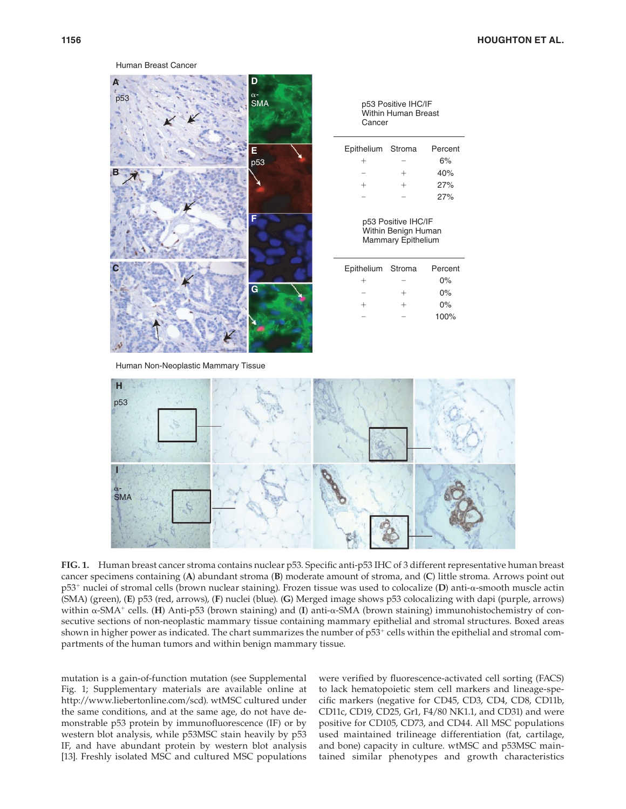#### Human Breast Cancer



Human Non-Neoplastic Mammary Tissue



**FIG. 1.** Human breast cancer stroma contains nuclear p53. Specific anti-p53 IHC of 3 different representative human breast cancer specimens containing (A) abundant stroma (B) moderate amount of stroma, and (C) little stroma. Arrows point out p53 <sup>+</sup> nuclei of stromal cells (brown nuclear staining). Frozen tissue was used to colocalize ( **D** ) anti-α-smooth muscle actin (SMA) (green), (E) p53 (red, arrows), (F) nuclei (blue). (G) Merged image shows p53 colocalizing with dapi (purple, arrows) within α-SMA<sup>+</sup> cells. (**H**) Anti-p53 (brown staining) and (**I**) anti-α-SMA (brown staining) immunohistochemistry of consecutive sections of non-neoplastic mammary tissue containing mammary epithelial and stromal structures. Boxed areas shown in higher power as indicated. The chart summarizes the number of  $p53<sup>+</sup>$  cells within the epithelial and stromal compartments of the human tumors and within benign mammary tissue.

mutation is a gain-of-function mutation (see Supplemental Fig. 1; Supplementary materials are available online at http://www.liebertonline.com/scd). wtMSC cultured under the same conditions, and at the same age, do not have demonstrable p53 protein by immunofluorescence (IF) or by western blot analysis, while p53MSC stain heavily by p53 IF, and have abundant protein by western blot analysis [13]. Freshly isolated MSC and cultured MSC populations

were verified by fluorescence-activated cell sorting (FACS) to lack hematopoietic stem cell markers and lineage-specific markers (negative for CD45, CD3, CD4, CD8, CD11b, CD11c, CD19, CD25, Gr1, F4/80 NK1.1, and CD31) and were positive for CD105, CD73, and CD44. All MSC populations used maintained trilineage differentiation (fat, cartilage, and bone) capacity in culture. wtMSC and p53MSC maintained similar phenotypes and growth characteristics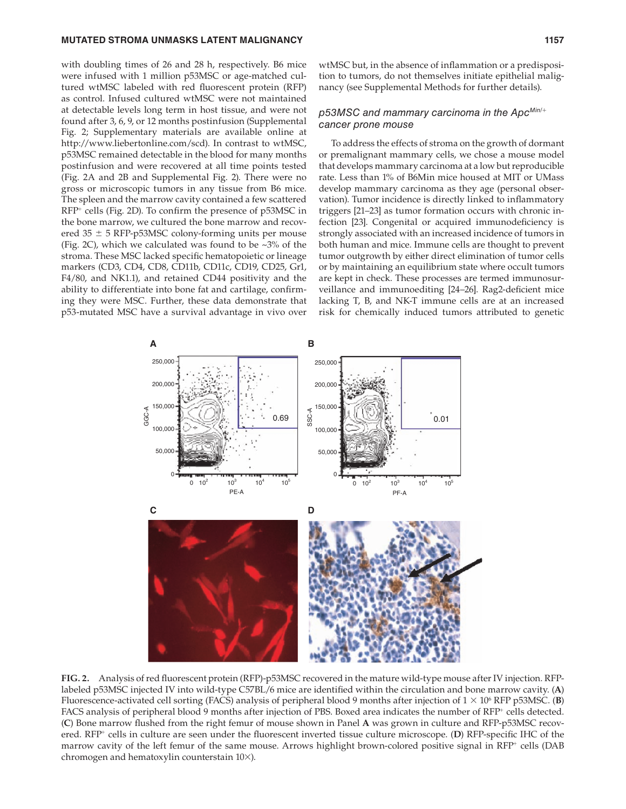#### **MUTATED STROMA UNMASKS LATENT MALIGNANCY 1157** 1157

with doubling times of 26 and 28 h, respectively. B6 mice were infused with 1 million p53MSC or age-matched cultured wtMSC labeled with red fluorescent protein (RFP) as control. Infused cultured wtMSC were not maintained at detectable levels long term in host tissue, and were not found after 3, 6, 9, or 12 months postinfusion (Supplemental Fig. 2; Supplementary materials are available online at http://www.liebertonline.com/scd). In contrast to wtMSC, p53MSC remained detectable in the blood for many months postinfusion and were recovered at all time points tested ( Fig. 2A and 2B and Supplemental Fig. 2). There were no gross or microscopic tumors in any tissue from B6 mice. The spleen and the marrow cavity contained a few scattered  $RFP<sup>+</sup>$  cells (Fig. 2D). To confirm the presence of p53MSC in the bone marrow, we cultured the bone marrow and recovered  $35 \pm 5$  RFP-p53MSC colony-forming units per mouse (Fig. 2C), which we calculated was found to be  $\sim 3\%$  of the stroma. These MSC lacked specific hematopoietic or lineage markers (CD3, CD4, CD8, CD11b, CD11c, CD19, CD25, Gr1, F4/80, and NK1.1), and retained CD44 positivity and the ability to differentiate into bone fat and cartilage, confirming they were MSC. Further, these data demonstrate that p53-mutated MSC have a survival advantage in vivo over wtMSC but, in the absence of inflammation or a predisposition to tumors, do not themselves initiate epithelial malignancy (see Supplemental Methods for further details).

## p53MSC and mammary carcinoma in the ApcMin/+ cancer prone mouse

 To address the effects of stroma on the growth of dormant or premalignant mammary cells, we chose a mouse model that develops mammary carcinoma at a low but reproducible rate. Less than 1% of B6Min mice housed at MIT or UMass develop mammary carcinoma as they age (personal observation). Tumor incidence is directly linked to inflammatory triggers [21–23] as tumor formation occurs with chronic infection [23]. Congenital or acquired immunodeficiency is strongly associated with an increased incidence of tumors in both human and mice. Immune cells are thought to prevent tumor outgrowth by either direct elimination of tumor cells or by maintaining an equilibrium state where occult tumors are kept in check. These processes are termed immunosurveillance and immunoediting [24-26]. Rag2-deficient mice lacking T, B, and NK-T immune cells are at an increased risk for chemically induced tumors attributed to genetic



FIG. 2. Analysis of red fluorescent protein (RFP)-p53MSC recovered in the mature wild-type mouse after IV injection. RFPlabeled p53MSC injected IV into wild-type C57BL/6 mice are identified within the circulation and bone marrow cavity. (A) Fluorescence-activated cell sorting (FACS) analysis of peripheral blood 9 months after injection of  $1 \times 10^6$  RFP p53MSC. (B) FACS analysis of peripheral blood 9 months after injection of PBS. Boxed area indicates the number of RFP<sup>+</sup> cells detected. ( **C** ) Bone marrow fl ushed from the right femur of mouse shown in Panel **A** was grown in culture and RFP-p53MSC recovered. RFP<sup>+</sup> cells in culture are seen under the fluorescent inverted tissue culture microscope. (D) RFP-specific IHC of the marrow cavity of the left femur of the same mouse. Arrows highlight brown-colored positive signal in RFP<sup>+</sup> cells (DAB chromogen and hematoxylin counterstain 10×).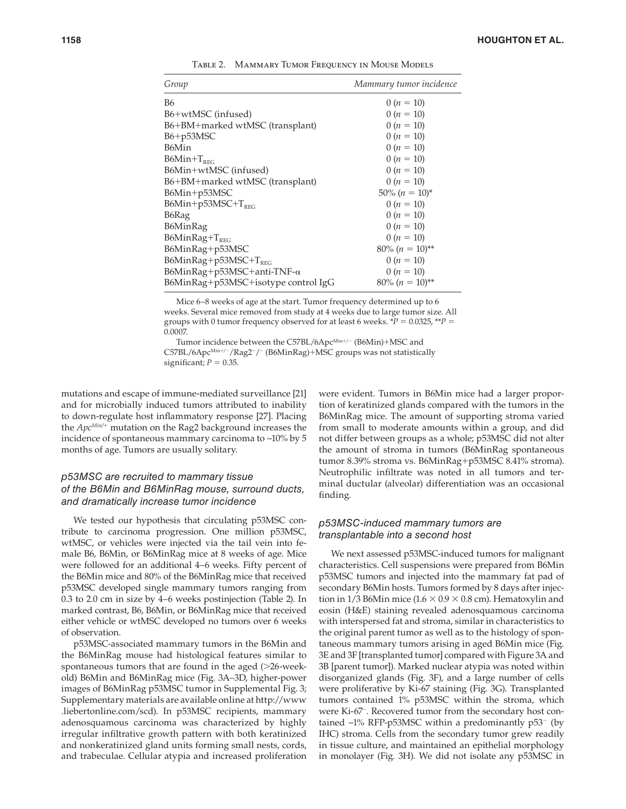| Group                                 | Mammary tumor incidence       |
|---------------------------------------|-------------------------------|
| <b>B6</b>                             | $0(n = 10)$                   |
| B6+wtMSC (infused)                    | $0(n = 10)$                   |
| B6+BM+marked wtMSC (transplant)       | $0(n = 10)$                   |
| B6+p53MSC                             | $0(n = 10)$                   |
| B6Min                                 | $0(n = 10)$                   |
| $B6Min+T_{RFC}$                       | $0(n = 10)$                   |
| B6Min+wtMSC (infused)                 | $0(n = 10)$                   |
| B6+BM+marked wtMSC (transplant)       | $0(n = 10)$                   |
| B6Min+p53MSC                          | $50\% (n = 10)^{*}$           |
| $B6Min+p53MSC+T_{REG}$                | $0(n = 10)$                   |
| B6Rag                                 | $0(n = 10)$                   |
| B6MinRag                              | $0(n = 10)$                   |
| $B6MinRag+T_{RFG}$                    | $0(n = 10)$                   |
| B6MinRag+p53MSC                       | $80\% (n = 10)$ <sup>**</sup> |
| $B6MinRag + p53MSC + T_{REG}$         | $0(n = 10)$                   |
| $B6MinRag + p53MSC + anti-TNF-\alpha$ | $0(n = 10)$                   |
| B6MinRag+p53MSC+isotype control IgG   | $80\% (n = 10)^{**}$          |

TABLE 2. MAMMARY TUMOR FREQUENCY IN MOUSE MODELS

 Mice 6–8 weeks of age at the start. Tumor frequency determined up to 6 weeks. Several mice removed from study at 4 weeks due to large tumor size. All groups with 0 tumor frequency observed for at least 6 weeks.  $P = 0.0325$ ,  $P =$ 0.0007.

Tumor incidence between the C57BL/6ApcMin+/- (B6Min)+MSC and C57BL/6Apc<sup>Min+/-</sup>/Rag2<sup>-</sup>/<sup>-</sup> (B6MinRag)+MSC groups was not statistically significant;  $P = 0.35$ .

mutations and escape of immune-mediated surveillance [21] and for microbially induced tumors attributed to inability to down-regulate host inflammatory response [27]. Placing the  $Apc^{Min/+}$  mutation on the Rag2 background increases the incidence of spontaneous mammary carcinoma to ~10% by 5 months of age. Tumors are usually solitary.

## p53MSC are recruited to mammary tissue of the B6Min and B6MinRag mouse, surround ducts, and dramatically increase tumor incidence

 We tested our hypothesis that circulating p53MSC contribute to carcinoma progression. One million p53MSC, wtMSC, or vehicles were injected via the tail vein into female B6, B6Min, or B6MinRag mice at 8 weeks of age. Mice were followed for an additional 4–6 weeks. Fifty percent of the B6Min mice and 80% of the B6MinRag mice that received p53MSC developed single mammary tumors ranging from  $0.3$  to  $2.0$  cm in size by  $4-6$  weeks postinjection (Table 2). In marked contrast, B6, B6Min, or B6MinRag mice that received either vehicle or wtMSC developed no tumors over 6 weeks of observation.

 p53MSC-associated mammary tumors in the B6Min and the B6MinRag mouse had histological features similar to spontaneous tumors that are found in the aged (>26-weekold) B6Min and B6MinRag mice (Fig. 3A-3D, higher-power images of B6MinRag p53MSC tumor in Supplemental Fig. 3; Supplementary materials are available online at http://www .liebertonline.com/scd). In p53MSC recipients, mammary adenosquamous carcinoma was characterized by highly irregular infiltrative growth pattern with both keratinized and nonkeratinized gland units forming small nests, cords, and trabeculae. Cellular atypia and increased proliferation were evident. Tumors in B6Min mice had a larger proportion of keratinized glands compared with the tumors in the B6MinRag mice. The amount of supporting stroma varied from small to moderate amounts within a group, and did not differ between groups as a whole; p53MSC did not alter the amount of stroma in tumors (B6MinRag spontaneous tumor 8.39% stroma vs. B6MinRag+p53MSC 8.41% stroma). Neutrophilic infiltrate was noted in all tumors and terminal ductular (alveolar) differentiation was an occasional finding.

## p53MSC-induced mammary tumors are transplantable into a second host

 We next assessed p53MSC-induced tumors for malignant characteristics. Cell suspensions were prepared from B6Min p53MSC tumors and injected into the mammary fat pad of secondary B6Min hosts. Tumors formed by 8 days after injection in 1/3 B6Min mice  $(1.6 \times 0.9 \times 0.8 \text{ cm})$ . Hematoxylin and eosin (H&E) staining revealed adenosquamous carcinoma with interspersed fat and stroma, similar in characteristics to the original parent tumor as well as to the histology of spontaneous mammary tumors arising in aged B6Min mice (Fig. 3E and 3F [transplanted tumor] compared with Figure 3A and 3B [parent tumor]). Marked nuclear atypia was noted within disorganized glands (Fig. 3F), and a large number of cells were proliferative by Ki-67 staining (Fig. 3G). Transplanted tumors contained 1% p53MSC within the stroma, which were Ki-67<sup>-</sup>. Recovered tumor from the secondary host contained ~1% RFP-p53MSC within a predominantly  $p53^-$  (by IHC) stroma. Cells from the secondary tumor grew readily in tissue culture, and maintained an epithelial morphology in monolayer (Fig. 3H). We did not isolate any p53MSC in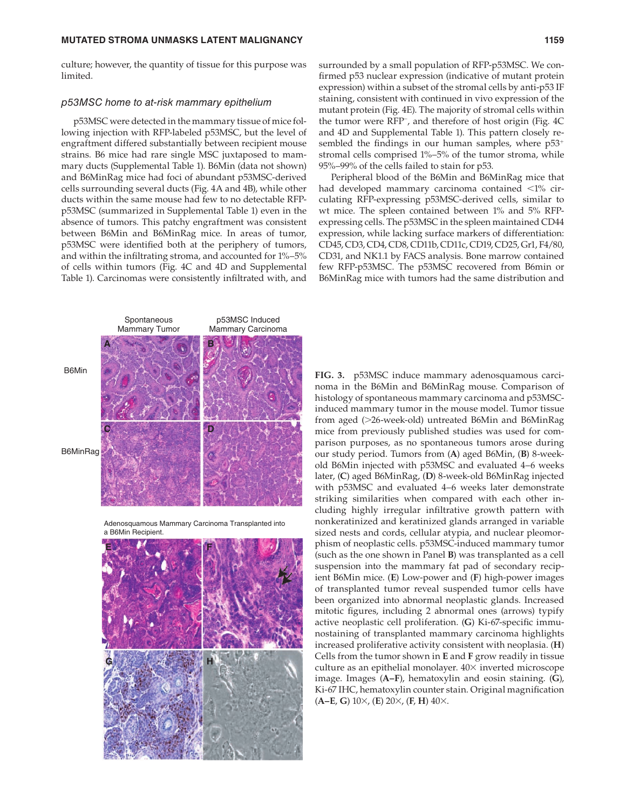#### **MUTATED STROMA UNMASKS LATENT MALIGNANCY 1159** 1159

culture; however, the quantity of tissue for this purpose was limited.

#### p53MSC home to at-risk mammary epithelium

 p53MSC were detected in the mammary tissue of mice following injection with RFP-labeled p53MSC, but the level of engraftment differed substantially between recipient mouse strains. B6 mice had rare single MSC juxtaposed to mammary ducts (Supplemental Table 1). B6Min (data not shown) and B6MinRag mice had foci of abundant p53MSC-derived cells surrounding several ducts (Fig. 4A and 4B), while other ducts within the same mouse had few to no detectable RFPp53MSC (summarized in Supplemental Table 1) even in the absence of tumors. This patchy engraftment was consistent between B6Min and B6MinRag mice. In areas of tumor, p53MSC were identified both at the periphery of tumors, and within the infiltrating stroma, and accounted for  $1\% - 5\%$ of cells within tumors (Fig. 4C and 4D and Supplemental Table 1). Carcinomas were consistently infiltrated with, and



Adenosquamous Mammary Carcinoma Transplanted into a B6Min Recipient.



surrounded by a small population of RFP-p53MSC. We confirmed p53 nuclear expression (indicative of mutant protein expression) within a subset of the stromal cells by anti-p53 IF staining, consistent with continued in vivo expression of the mutant protein (Fig. 4E). The majority of stromal cells within the tumor were RFP<sup>-</sup>, and therefore of host origin (Fig. 4C and 4D and Supplemental Table 1). This pattern closely resembled the findings in our human samples, where  $p53^+$ stromal cells comprised 1%–5% of the tumor stroma, while 95%–99% of the cells failed to stain for p53.

 Peripheral blood of the B6Min and B6MinRag mice that had developed mammary carcinoma contained <1% circulating RFP-expressing p53MSC-derived cells, similar to wt mice. The spleen contained between 1% and 5% RFPexpressing cells. The p53MSC in the spleen maintained CD44 expression, while lacking surface markers of differentiation: CD45, CD3, CD4, CD8, CD11b, CD11c, CD19, CD25, Gr1, F4/80, CD31, and NK1.1 by FACS analysis. Bone marrow contained few RFP-p53MSC. The p53MSC recovered from B6min or B6MinRag mice with tumors had the same distribution and

 **FIG. 3.** p53MSC induce mammary adenosquamous carcinoma in the B6Min and B6MinRag mouse. Comparison of histology of spontaneous mammary carcinoma and p53MSCinduced mammary tumor in the mouse model. Tumor tissue from aged (>26-week-old) untreated B6Min and B6MinRag mice from previously published studies was used for comparison purposes, as no spontaneous tumors arose during our study period. Tumors from (A) aged B6Min, (B) 8-weekold B6Min injected with p53MSC and evaluated 4–6 weeks later, (C) aged B6MinRag, (D) 8-week-old B6MinRag injected with p53MSC and evaluated 4–6 weeks later demonstrate striking similarities when compared with each other including highly irregular infiltrative growth pattern with nonkeratinized and keratinized glands arranged in variable sized nests and cords, cellular atypia, and nuclear pleomorphism of neoplastic cells. p53MSC-induced mammary tumor (such as the one shown in Panel B) was transplanted as a cell suspension into the mammary fat pad of secondary recipient B6Min mice. (E) Low-power and (F) high-power images of transplanted tumor reveal suspended tumor cells have been organized into abnormal neoplastic glands. Increased mitotic figures, including 2 abnormal ones (arrows) typify active neoplastic cell proliferation. (G) Ki-67-specific immunostaining of transplanted mammary carcinoma highlights increased proliferative activity consistent with neoplasia. (H) Cells from the tumor shown in **E** and **F** grow readily in tissue culture as an epithelial monolayer.  $40\times$  inverted microscope image. Images (A–F), hematoxylin and eosin staining. (G), Ki-67 IHC, hematoxylin counter stain. Original magnification  $(A-E, G) 10 \times$ ,  $(E) 20 \times$ ,  $(F, H) 40 \times$ .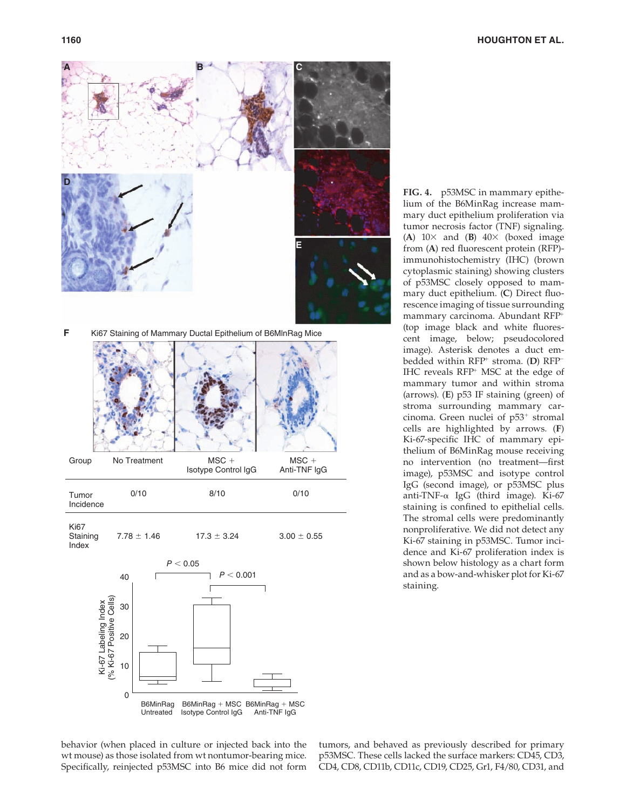



**Staining** Index  $7.78 \pm 1.46$  17.3  $\pm$  3.24 3.00  $\pm$  0.55



 **FIG. 4.** p53MSC in mammary epithelium of the B6MinRag increase mammary duct epithelium proliferation via tumor necrosis factor (TNF) signaling. (A)  $10 \times$  and (B)  $40 \times$  (boxed image from (A) red fluorescent protein (RFP)immunohistochemistry (IHC) (brown cytoplasmic staining) showing clusters of p53MSC closely opposed to mammary duct epithelium. (C) Direct fluorescence imaging of tissue surrounding mammary carcinoma. Abundant RFP+ (top image black and white fluorescent image, below; pseudocolored image). Asterisk denotes a duct embedded within RFP<sup>+</sup> stroma. (D) RFP<sup>-</sup> IHC reveals  $RFP$ <sup>+</sup> MSC at the edge of mammary tumor and within stroma (arrows). (E) p53 IF staining (green) of stroma surrounding mammary carcinoma. Green nuclei of  $p53<sup>+</sup>$  stromal cells are highlighted by arrows. (F) Ki-67-specific IHC of mammary epithelium of B6MinRag mouse receiving no intervention (no treatment-first image), p53MSC and isotype control IgG (second image), or p53MSC plus anti-TNF-α IgG (third image). Ki-67 staining is confined to epithelial cells. The stromal cells were predominantly nonproliferative. We did not detect any Ki-67 staining in p53MSC. Tumor incidence and Ki-67 proliferation index is shown below histology as a chart form and as a bow-and-whisker plot for Ki-67

behavior (when placed in culture or injected back into the wt mouse) as those isolated from wt nontumor-bearing mice. Specifically, reinjected p53MSC into B6 mice did not form

tumors, and behaved as previously described for primary p53MSC. These cells lacked the surface markers: CD45, CD3, CD4, CD8, CD11b, CD11c, CD19, CD25, Gr1, F4/80, CD31, and

staining.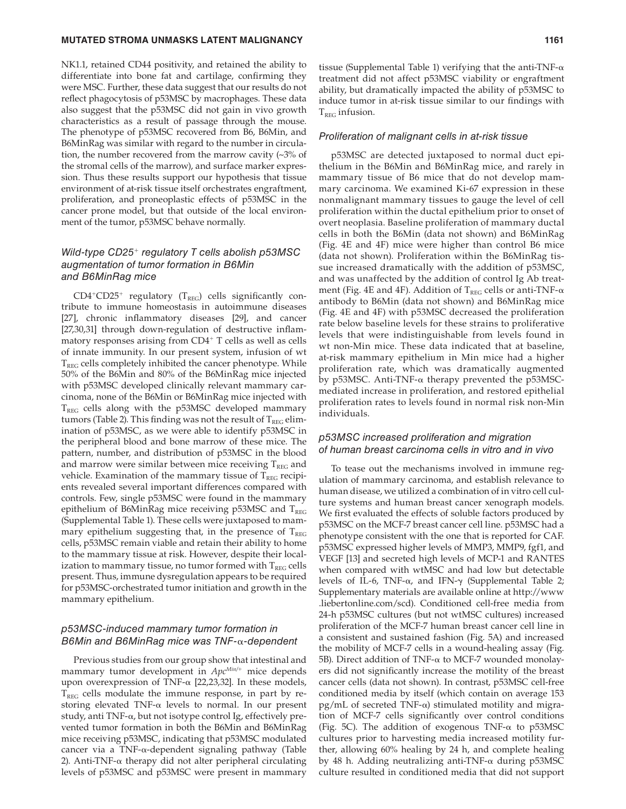#### **MUTATED STROMA UNMASKS LATENT MALIGNANCY 1161** 1161

NK1.1, retained CD44 positivity, and retained the ability to differentiate into bone fat and cartilage, confirming they were MSC. Further, these data suggest that our results do not reflect phagocytosis of p53MSC by macrophages. These data also suggest that the p53MSC did not gain in vivo growth characteristics as a result of passage through the mouse. The phenotype of p53MSC recovered from B6, B6Min, and B6MinRag was similar with regard to the number in circulation, the number recovered from the marrow cavity (~3% of the stromal cells of the marrow), and surface marker expression. Thus these results support our hypothesis that tissue environment of at-risk tissue itself orchestrates engraftment, proliferation, and proneoplastic effects of p53MSC in the cancer prone model, but that outside of the local environment of the tumor, p53MSC behave normally.

## Wild-type  $CD25<sup>+</sup>$  regulatory T cells abolish p53MSC augmentation of tumor formation in B6Min and B6MinRag mice

 $CD4+CD25+$  regulatory (T<sub>REG</sub>) cells significantly contribute to immune homeostasis in autoimmune diseases [27], chronic inflammatory diseases [29], and cancer [27,30,31] through down-regulation of destructive inflammatory responses arising from  $CD4+T$  cells as well as cells of innate immunity. In our present system, infusion of wt  $T_{REG}$  cells completely inhibited the cancer phenotype. While 50% of the B6Min and 80% of the B6MinRag mice injected with p53MSC developed clinically relevant mammary carcinoma, none of the B6Min or B6MinRag mice injected with  $T_{REG}$  cells along with the p53MSC developed mammary tumors (Table 2). This finding was not the result of  $T_{REG}$  elimination of p53MSC, as we were able to identify p53MSC in the peripheral blood and bone marrow of these mice. The pattern, number, and distribution of p53MSC in the blood and marrow were similar between mice receiving  $T_{REG}$  and vehicle. Examination of the mammary tissue of  $\mathrm{T_{REG}}$  recipients revealed several important differences compared with controls. Few, single p53MSC were found in the mammary epithelium of B6MinRag mice receiving p53MSC and  $T_{REG}$ (Supplemental Table 1). These cells were juxtaposed to mammary epithelium suggesting that, in the presence of  $T_{REG}$ cells, p53MSC remain viable and retain their ability to home to the mammary tissue at risk. However, despite their localization to mammary tissue, no tumor formed with  $T_{\text{REG}}$  cells present. Thus, immune dysregulation appears to be required for p53MSC-orchestrated tumor initiation and growth in the mammary epithelium.

## p53MSC-induced mammary tumor formation in B6Min and B6MinRag mice was TNF-α-dependent

 Previous studies from our group show that intestinal and mammary tumor development in  $Apc^{Min/+}$  mice depends upon overexpression of TNF- $\alpha$  [22,23,32]. In these models,  $T_{REG}$  cells modulate the immune response, in part by restoring elevated TNF- $\alpha$  levels to normal. In our present study, anti TNF-α, but not isotype control Ig, effectively prevented tumor formation in both the B6Min and B6MinRag mice receiving p53MSC, indicating that p53MSC modulated cancer via a TNF-α-dependent signaling pathway ( Table 2). Anti-TNF- $\alpha$  therapy did not alter peripheral circulating levels of p53MSC and p53MSC were present in mammary

tissue (Supplemental Table 1) verifying that the anti-TNF- $\alpha$ treatment did not affect p53MSC viability or engraftment ability, but dramatically impacted the ability of p53MSC to induce tumor in at-risk tissue similar to our findings with  $T_{REG}$  infusion.

#### Proliferation of malignant cells in at-risk tissue

 p53MSC are detected juxtaposed to normal duct epithelium in the B6Min and B6MinRag mice, and rarely in mammary tissue of B6 mice that do not develop mammary carcinoma. We examined Ki-67 expression in these nonmalignant mammary tissues to gauge the level of cell proliferation within the ductal epithelium prior to onset of overt neoplasia. Baseline proliferation of mammary ductal cells in both the B6Min (data not shown) and B6MinRag (Fig.  $4E$  and  $4F$ ) mice were higher than control B6 mice (data not shown). Proliferation within the B6MinRag tissue increased dramatically with the addition of p53MSC, and was unaffected by the addition of control Ig Ab treatment (Fig. 4E and 4F). Addition of  $T_{REG}$  cells or anti-TNF- $\alpha$ antibody to B6Min (data not shown) and B6MinRag mice (Fig. 4E and 4F) with p53MSC decreased the proliferation rate below baseline levels for these strains to proliferative levels that were indistinguishable from levels found in wt non-Min mice. These data indicated that at baseline, at-risk mammary epithelium in Min mice had a higher proliferation rate, which was dramatically augmented by p53MSC. Anti-TNF-α therapy prevented the p53MSCmediated increase in proliferation, and restored epithelial proliferation rates to levels found in normal risk non-Min individuals.

## p53MSC increased proliferation and migration of human breast carcinoma cells in vitro and in vivo

 To tease out the mechanisms involved in immune regulation of mammary carcinoma, and establish relevance to human disease, we utilized a combination of in vitro cell culture systems and human breast cancer xenograph models. We first evaluated the effects of soluble factors produced by p53MSC on the MCF-7 breast cancer cell line. p53MSC had a phenotype consistent with the one that is reported for CAF. p53MSC expressed higher levels of MMP3, MMP9, fgf1, and VEGF [13] and secreted high levels of MCP-1 and RANTES when compared with wtMSC and had low but detectable levels of IL-6, TNF-α, and IFN- $\gamma$  (Supplemental Table 2; Supplementary materials are available online at http://www .liebertonline.com/scd) . Conditioned cell-free media from 24-h p53MSC cultures (but not wtMSC cultures) increased proliferation of the MCF-7 human breast cancer cell line in a consistent and sustained fashion (Fig. 5A) and increased the mobility of MCF-7 cells in a wound-healing assay (Fig. 5B). Direct addition of TNF-α to MCF-7 wounded monolayers did not significantly increase the motility of the breast cancer cells (data not shown). In contrast, p53MSC cell-free conditioned media by itself (which contain on average 153 pg/mL of secreted TNF- $\alpha$ ) stimulated motility and migration of MCF-7 cells significantly over control conditions (Fig. 5C). The addition of exogenous TNF- $\alpha$  to p53MSC cultures prior to harvesting media increased motility further, allowing 60% healing by 24 h, and complete healing by 48 h. Adding neutralizing anti-TNF-α during p53MSC culture resulted in conditioned media that did not support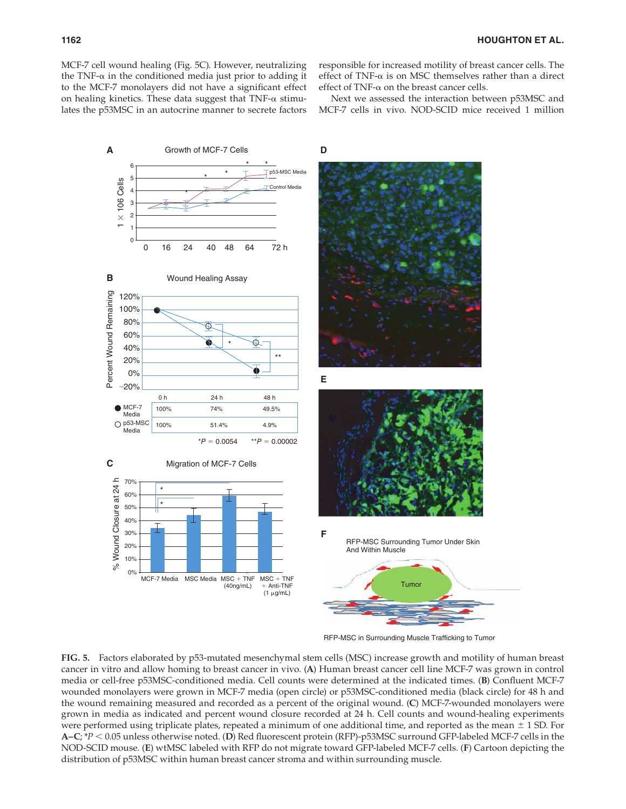MCF-7 cell wound healing (Fig. 5C). However, neutralizing the TNF- $\alpha$  in the conditioned media just prior to adding it to the MCF-7 monolayers did not have a significant effect on healing kinetics. These data suggest that  $TNF-\alpha$  stimulates the p53MSC in an autocrine manner to secrete factors

responsible for increased motility of breast cancer cells. The effect of TNF- $\alpha$  is on MSC themselves rather than a direct effect of TNF- $\alpha$  on the breast cancer cells.

 Next we assessed the interaction between p53MSC and MCF-7 cells in vivo. NOD-SCID mice received 1 million



RFP-MSC in Surrounding Muscle Trafficking to Tumor

 **FIG. 5.** Factors elaborated by p53-mutated mesenchymal stem cells (MSC) increase growth and motility of human breast cancer in vitro and allow homing to breast cancer in vivo. ( **A** ) Human breast cancer cell line MCF-7 was grown in control media or cell-free p53MSC-conditioned media. Cell counts were determined at the indicated times. (**B**) Confluent MCF-7 wounded monolayers were grown in MCF-7 media (open circle) or p53MSC-conditioned media (black circle) for 48 h and the wound remaining measured and recorded as a percent of the original wound. ( **C** ) MCF-7-wounded monolayers were grown in media as indicated and percent wound closure recorded at 24 h. Cell counts and wound-healing experiments were performed using triplicate plates, repeated a minimum of one additional time, and reported as the mean  $\pm$  1 SD. For A–C; \*P < 0.05 unless otherwise noted. (D) Red fluorescent protein (RFP)-p53MSC surround GFP-labeled MCF-7 cells in the NOD-SCID mouse. (E) wtMSC labeled with RFP do not migrate toward GFP-labeled MCF-7 cells. (F) Cartoon depicting the distribution of p53MSC within human breast cancer stroma and within surrounding muscle.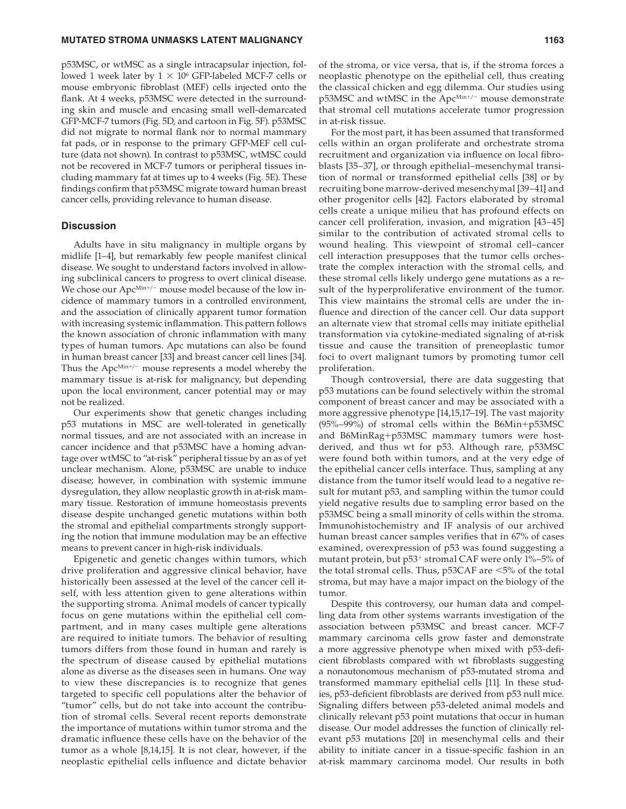#### **MUTATED STROMA UNMASKS LATENT MALIGNANCY 1163** 1163

p53MSC, or wtMSC as a single intracapsular injection, followed 1 week later by  $1 \times 10^6$  GFP-labeled MCF-7 cells or mouse embryonic fibroblast (MEF) cells injected onto the flank. At 4 weeks, p53MSC were detected in the surrounding skin and muscle and encasing small well-demarcated GFP-MCF-7 tumors (Fig. 5D, and cartoon in Fig. 5F). p53MSC did not migrate to normal flank nor to normal mammary fat pads, or in response to the primary GFP-MEF cell culture (data not shown). In contrast to p53MSC, wtMSC could not be recovered in MCF-7 tumors or peripheral tissues including mammary fat at times up to 4 weeks (Fig. 5E). These findings confirm that p53MSC migrate toward human breast cancer cells, providing relevance to human disease.

#### **Discussion**

 Adults have in situ malignancy in multiple organs by midlife [1-4], but remarkably few people manifest clinical disease. We sought to understand factors involved in allowing subclinical cancers to progress to overt clinical disease. We chose our Apc<sup>Min+/−</sup> mouse model because of the low incidence of mammary tumors in a controlled environment, and the association of clinically apparent tumor formation with increasing systemic inflammation. This pattern follows the known association of chronic inflammation with many types of human tumors. Apc mutations can also be found in human breast cancer [33] and breast cancer cell lines [34]. Thus the Apc<sup>Min+/−</sup> mouse represents a model whereby the mammary tissue is at-risk for malignancy, but depending upon the local environment, cancer potential may or may not be realized.

 Our experiments show that genetic changes including p53 mutations in MSC are well-tolerated in genetically normal tissues, and are not associated with an increase in cancer incidence and that p53MSC have a homing advantage over wtMSC to "at-risk" peripheral tissue by an as of yet unclear mechanism. Alone, p53MSC are unable to induce disease; however, in combination with systemic immune dysregulation, they allow neoplastic growth in at-risk mammary tissue. Restoration of immune homeostasis prevents disease despite unchanged genetic mutations within both the stromal and epithelial compartments strongly supporting the notion that immune modulation may be an effective means to prevent cancer in high-risk individuals.

 Epigenetic and genetic changes within tumors, which drive proliferation and aggressive clinical behavior, have historically been assessed at the level of the cancer cell itself, with less attention given to gene alterations within the supporting stroma. Animal models of cancer typically focus on gene mutations within the epithelial cell compartment, and in many cases multiple gene alterations are required to initiate tumors. The behavior of resulting tumors differs from those found in human and rarely is the spectrum of disease caused by epithelial mutations alone as diverse as the diseases seen in humans. One way to view these discrepancies is to recognize that genes targeted to specific cell populations alter the behavior of "tumor" cells, but do not take into account the contribution of stromal cells. Several recent reports demonstrate the importance of mutations within tumor stroma and the dramatic influence these cells have on the behavior of the tumor as a whole  $[8,14,15]$ . It is not clear, however, if the neoplastic epithelial cells influence and dictate behavior

of the stroma, or vice versa, that is, if the stroma forces a neoplastic phenotype on the epithelial cell, thus creating the classical chicken and egg dilemma. Our studies using p53MSC and wtMSC in the Apc<sup>Min+/-</sup> mouse demonstrate that stromal cell mutations accelerate tumor progression in at-risk tissue.

 For the most part, it has been assumed that transformed cells within an organ proliferate and orchestrate stroma recruitment and organization via influence on local fibroblasts [35–37], or through epithelial–mesenchymal transition of normal or transformed epithelial cells [38] or by recruiting bone marrow-derived mesenchymal [39–41] and other progenitor cells [42]. Factors elaborated by stromal cells create a unique milieu that has profound effects on cancer cell proliferation, invasion, and migration [43–45] similar to the contribution of activated stromal cells to wound healing. This viewpoint of stromal cell–cancer cell interaction presupposes that the tumor cells orchestrate the complex interaction with the stromal cells, and these stromal cells likely undergo gene mutations as a result of the hyperproliferative environment of the tumor. This view maintains the stromal cells are under the influence and direction of the cancer cell. Our data support an alternate view that stromal cells may initiate epithelial transformation via cytokine-mediated signaling of at-risk tissue and cause the transition of preneoplastic tumor foci to overt malignant tumors by promoting tumor cell proliferation.

 Though controversial, there are data suggesting that p53 mutations can be found selectively within the stromal component of breast cancer and may be associated with a more aggressive phenotype [14,15,17-19]. The vast majority (95%–99%) of stromal cells within the B6Min+p53MSC and B6MinRag+p53MSC mammary tumors were hostderived, and thus wt for p53. Although rare, p53MSC were found both within tumors, and at the very edge of the epithelial cancer cells interface. Thus, sampling at any distance from the tumor itself would lead to a negative result for mutant p53, and sampling within the tumor could yield negative results due to sampling error based on the p53MSC being a small minority of cells within the stroma. Immunohistochemistry and IF analysis of our archived human breast cancer samples verifies that in 67% of cases examined, overexpression of p53 was found suggesting a mutant protein, but p53<sup>+</sup> stromal CAF were only 1%–5% of the total stromal cells. Thus, p53CAF are <5% of the total stroma, but may have a major impact on the biology of the tumor.

 Despite this controversy, our human data and compelling data from other systems warrants investigation of the association between p53MSC and breast cancer. MCF-7 mammary carcinoma cells grow faster and demonstrate a more aggressive phenotype when mixed with p53-deficient fibroblasts compared with wt fibroblasts suggesting a nonautonomous mechanism of p53-mutated stroma and transformed mammary epithelial cells [11]. In these studies, p53-deficient fibroblasts are derived from p53 null mice. Signaling differs between p53-deleted animal models and clinically relevant p53 point mutations that occur in human disease. Our model addresses the function of clinically relevant p53 mutations [20] in mesenchymal cells and their ability to initiate cancer in a tissue-specific fashion in an at-risk mammary carcinoma model. Our results in both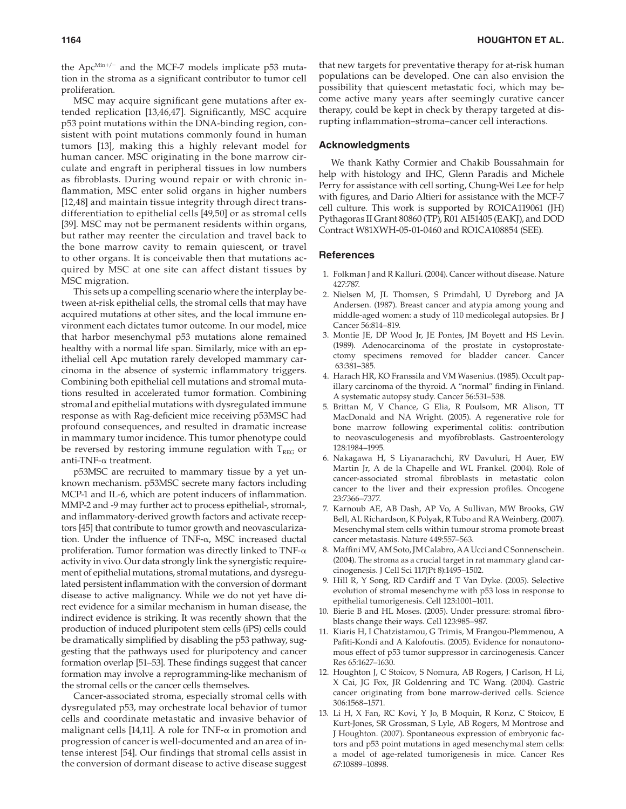the Apc<sup>Min+/−</sup> and the MCF-7 models implicate p53 mutation in the stroma as a significant contributor to tumor cell proliferation.

MSC may acquire significant gene mutations after extended replication [13,46,47]. Significantly, MSC acquire p53 point mutations within the DNA-binding region, consistent with point mutations commonly found in human tumors [13], making this a highly relevant model for human cancer. MSC originating in the bone marrow circulate and engraft in peripheral tissues in low numbers as fibroblasts. During wound repair or with chronic inflammation, MSC enter solid organs in higher numbers [12,48] and maintain tissue integrity through direct transdifferentiation to epithelial cells [49,50] or as stromal cells [39]. MSC may not be permanent residents within organs, but rather may reenter the circulation and travel back to the bone marrow cavity to remain quiescent, or travel to other organs. It is conceivable then that mutations acquired by MSC at one site can affect distant tissues by MSC migration.

 This sets up a compelling scenario where the interplay between at-risk epithelial cells, the stromal cells that may have acquired mutations at other sites, and the local immune environment each dictates tumor outcome. In our model, mice that harbor mesenchymal p53 mutations alone remained healthy with a normal life span. Similarly, mice with an epithelial cell Apc mutation rarely developed mammary carcinoma in the absence of systemic inflammatory triggers. Combining both epithelial cell mutations and stromal mutations resulted in accelerated tumor formation. Combining stromal and epithelial mutations with dysregulated immune response as with Rag-deficient mice receiving p53MSC had profound consequences, and resulted in dramatic increase in mammary tumor incidence. This tumor phenotype could be reversed by restoring immune regulation with  $T_{REG}$  or anti-TNF-α treatment.

 p53MSC are recruited to mammary tissue by a yet unknown mechanism. p53MSC secrete many factors including MCP-1 and IL-6, which are potent inducers of inflammation. MMP-2 and -9 may further act to process epithelial-, stromal-, and inflammatory-derived growth factors and activate receptors [45] that contribute to tumor growth and neovascularization. Under the influence of TNF- $\alpha$ , MSC increased ductal proliferation. Tumor formation was directly linked to TNF-α activity in vivo. Our data strongly link the synergistic requirement of epithelial mutations, stromal mutations, and dysregulated persistent inflammation with the conversion of dormant disease to active malignancy. While we do not yet have direct evidence for a similar mechanism in human disease, the indirect evidence is striking. It was recently shown that the production of induced pluripotent stem cells (iPS) cells could be dramatically simplified by disabling the p53 pathway, suggesting that the pathways used for pluripotency and cancer formation overlap [51–53]. These findings suggest that cancer formation may involve a reprogramming-like mechanism of the stromal cells or the cancer cells themselves.

 Cancer-associated stroma, especially stromal cells with dysregulated p53, may orchestrate local behavior of tumor cells and coordinate metastatic and invasive behavior of malignant cells [14,11]. A role for TNF- $\alpha$  in promotion and progression of cancer is well-documented and an area of intense interest [54]. Our findings that stromal cells assist in the conversion of dormant disease to active disease suggest

that new targets for preventative therapy for at-risk human populations can be developed. One can also envision the possibility that quiescent metastatic foci, which may become active many years after seemingly curative cancer therapy, could be kept in check by therapy targeted at disrupting inflammation–stroma–cancer cell interactions.

#### **Acknowledgments**

 We thank Kathy Cormier and Chakib Boussahmain for help with histology and IHC, Glenn Paradis and Michele Perry for assistance with cell sorting, Chung-Wei Lee for help with figures, and Dario Altieri for assistance with the MCF-7 cell culture. This work is supported by RO1CA119061 (JH) Pythagoras II Grant 80860 (TP), R01 AI51405 (EAKJ), and DOD Contract W81XWH-05-01-0460 and RO1CA108854 (SEE).

#### **References**

- 1. Folkman J and R Kalluri. (2004). Cancer without disease. Nature 427:787
- 2. Nielsen M, JL Thomsen, S Primdahl, U Dyreborg and JA Andersen. (1987). Breast cancer and atypia among young and middle-aged women: a study of 110 medicolegal autopsies . Br J Cancer 56:814-819.
- 3. Montie JE, DP Wood Jr, JE Pontes, JM Boyett and HS Levin. (1989). Adenocarcinoma of the prostate in cystoprostatectomy specimens removed for bladder cancer . Cancer 63:381-385.
- 4. Harach HR, KO Franssila and VM Wasenius. (1985). Occult papillary carcinoma of the thyroid. A "normal" finding in Finland. A systematic autopsy study. Cancer 56:531-538.
- 5. Brittan M, V Chance, G Elia, R Poulsom, MR Alison, TT MacDonald and NA Wright. (2005). A regenerative role for bone marrow following experimental colitis: contribution to neovasculogenesis and myofibroblasts. Gastroenterology 128:1984-1995.
- 6. Nakagawa H, S Liyanarachchi, RV Davuluri, H Auer, EW Martin Jr, A de la Chapelle and WL Frankel. (2004). Role of cancer-associated stromal fibroblasts in metastatic colon cancer to the liver and their expression profiles. Oncogene 23:7366-7377.
- 7. Karnoub AE, AB Dash, AP Vo, A Sullivan, MW Brooks, GW Bell, AL Richardson, K Polyak, R Tubo and RA Weinberg. (2007). Mesenchymal stem cells within tumour stroma promote breast cancer metastasis. Nature 449:557-563.
- 8. Maffini MV, AM Soto, JM Calabro, AA Ucci and C Sonnenschein. (2004). The stroma as a crucial target in rat mammary gland carcinogenesis. J Cell Sci 117(Pt 8):1495-1502.
- 9. Hill R, Y Song, RD Cardiff and T Van Dyke. (2005). Selective evolution of stromal mesenchyme with p53 loss in response to epithelial tumorigenesis. Cell 123:1001-1011.
- 10. Bierie B and HL Moses. (2005). Under pressure: stromal fibroblasts change their ways. Cell 123:985-987.
- 11. Kiaris H, I Chatzistamou, G Trimis, M Frangou-Plemmenou, A Pafiti-Kondi and A Kalofoutis. (2005). Evidence for nonautonomous effect of p53 tumor suppressor in carcinogenesis . Cancer Res 65:1627-1630.
- 12. Houghton J, C Stoicov, S Nomura, AB Rogers, J Carlson, H Li, X Cai, JG Fox, JR Goldenring and TC Wang. (2004). Gastric cancer originating from bone marrow-derived cells . Science 306:1568-1571.
- 13. Li H, X Fan, RC Kovi, Y Jo, B Moquin, R Konz, C Stoicov, E Kurt-Jones, SR Grossman, S Lyle, AB Rogers, M Montrose and J Houghton. (2007). Spontaneous expression of embryonic factors and p53 point mutations in aged mesenchymal stem cells: a model of age-related tumorigenesis in mice . Cancer Res 67:10889-10898.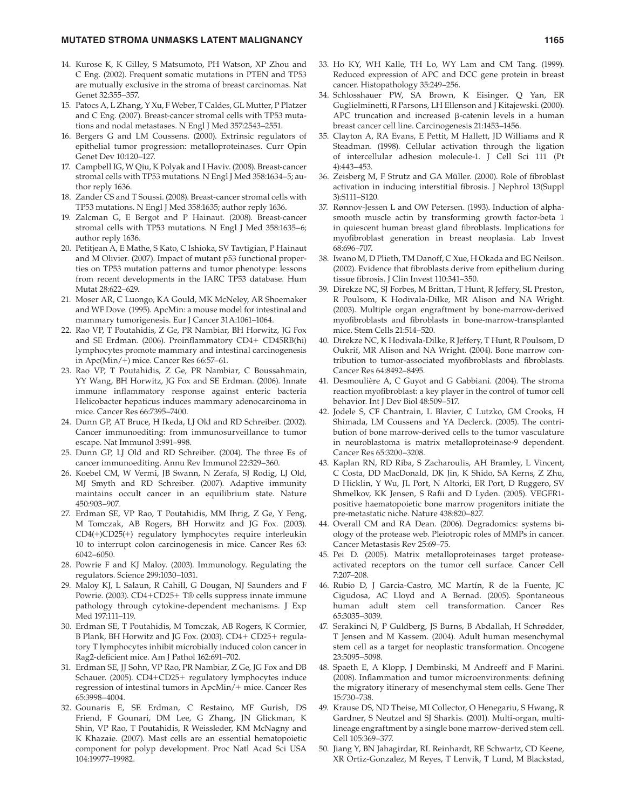#### **MUTATED STROMA UNMASKS LATENT MALIGNANCY 1165** 1165

- 14. Kurose K, K Gilley, S Matsumoto, PH Watson, XP Zhou and C Eng. (2002). Frequent somatic mutations in PTEN and TP53 are mutually exclusive in the stroma of breast carcinomas . Nat Genet 32:355-357.
- 15. Patocs A, L Zhang, Y Xu, F Weber, T Caldes, GL Mutter, P Platzer and C Eng. (2007). Breast-cancer stromal cells with TP53 mutations and nodal metastases. N Engl J Med 357:2543-2551.
- 16. Bergers G and LM Coussens. (2000). Extrinsic regulators of epithelial tumor progression: metalloproteinases . Curr Opin Genet Dev 10:120-127.
- 17. Campbell IG, W Qiu, K Polyak and I Haviv. (2008). Breast-cancer stromal cells with TP53 mutations. N Engl J Med 358:1634-5; author reply 1636.
- 18. Zander CS and T Soussi. (2008). Breast-cancer stromal cells with TP53 mutations. N Engl J Med 358:1635; author reply 1636.
- 19. Zalcman G, E Bergot and P Hainaut. (2008). Breast-cancer stromal cells with TP53 mutations. N Engl J Med 358:1635-6; author reply 1636.
- 20. Petitjean A, E Mathe, S Kato, C Ishioka, SV Tavtigian, P Hainaut and M Olivier. (2007). Impact of mutant p53 functional properties on TP53 mutation patterns and tumor phenotype: lessons from recent developments in the IARC TP53 database . Hum Mutat 28:622-629.
- 21. Moser AR, C Luongo, KA Gould, MK McNeley, AR Shoemaker and WF Dove. (1995). ApcMin: a mouse model for intestinal and mammary tumorigenesis. Eur J Cancer 31A:1061-1064.
- 22. Rao VP, T Poutahidis, Z Ge, PR Nambiar, BH Horwitz, JG Fox and SE Erdman. (2006). Proinflammatory CD4+ CD45RB(hi) lymphocytes promote mammary and intestinal carcinogenesis in  $Apc(Min/+)$  mice. Cancer Res 66:57-61.
- 23. Rao VP, T Poutahidis, Z Ge, PR Nambiar, C Boussahmain, YY Wang, BH Horwitz, JG Fox and SE Erdman. (2006). Innate immune inflammatory response against enteric bacteria Helicobacter hepaticus induces mammary adenocarcinoma in mice. Cancer Res 66:7395-7400.
- 24. Dunn GP, AT Bruce, H Ikeda, LJ Old and RD Schreiber. (2002). Cancer immunoediting: from immunosurveillance to tumor escape. Nat Immunol 3:991-998.
- 25. Dunn GP, LJ Old and RD Schreiber. (2004). The three Es of cancer immunoediting. Annu Rev Immunol 22:329-360.
- 26. Koebel CM, W Vermi, JB Swann, N Zerafa, SJ Rodig, LJ Old, MJ Smyth and RD Schreiber. (2007). Adaptive immunity maintains occult cancer in an equilibrium state. Nature 450:903-907.
- 27. Erdman SE, VP Rao, T Poutahidis, MM Ihrig, Z Ge, Y Feng, M Tomczak, AB Rogers, BH Horwitz and JG Fox. (2003). CD4(+)CD25(+) regulatory lymphocytes require interleukin 10 to interrupt colon carcinogenesis in mice . Cancer Res 63 : 6042-6050.
- 28. Powrie F and KJ Maloy. (2003). Immunology. Regulating the regulators. Science 299:1030-1031.
- 29. Maloy KJ, L Salaun, R Cahill, G Dougan, NJ Saunders and F Powrie. (2003). CD4+CD25+ T® cells suppress innate immune pathology through cytokine-dependent mechanisms . J Exp Med 197:111-119.
- 30. Erdman SE, T Poutahidis, M Tomczak, AB Rogers, K Cormier, B Plank, BH Horwitz and JG Fox. (2003). CD4+ CD25+ regulatory T lymphocytes inhibit microbially induced colon cancer in Rag2-deficient mice. Am J Pathol 162:691-702.
- 31. Erdman SE, JJ Sohn, VP Rao, PR Nambiar, Z Ge, JG Fox and DB Schauer. (2005). CD4+CD25+ regulatory lymphocytes induce regression of intestinal tumors in ApcMin/+ mice . Cancer Res 65:3998-4004.
- 32. Gounaris E, SE Erdman, C Restaino, MF Gurish, DS Friend, F Gounari, DM Lee, G Zhang, JN Glickman, K Shin, VP Rao, T Poutahidis, R Weissleder, KM McNagny and K Khazaie. (2007). Mast cells are an essential hematopoietic component for polyp development. Proc Natl Acad Sci USA 104:19977-19982.
- 33. Ho KY, WH Kalle, TH Lo, WY Lam and CM Tang. (1999). Reduced expression of APC and DCC gene protein in breast cancer. Histopathology 35:249-256.
- 34. Schlosshauer PW, SA Brown, K Eisinger, Q Yan, ER Guglielminetti, R Parsons, LH Ellenson and J Kitajewski. (2000). APC truncation and increased β-catenin levels in a human breast cancer cell line. Carcinogenesis 21:1453-1456.
- 35. Clayton A, RA Evans, E Pettit, M Hallett, JD Williams and R Steadman. (1998). Cellular activation through the ligation of intercellular adhesion molecule-1. J Cell Sci 111 (Pt 4): 443 – 453.
- 36. Zeisberg M, F Strutz and GA Müller. (2000). Role of fibroblast activation in inducing interstitial fibrosis. J Nephrol 13(Suppl 3): S111-S120.
- 37. Rønnov-Jessen L and OW Petersen. (1993). Induction of alphasmooth muscle actin by transforming growth factor-beta 1 in quiescent human breast gland fibroblasts. Implications for myofibroblast generation in breast neoplasia. Lab Invest 68:696-707.
- 38. Iwano M, D Plieth, TM Danoff, C Xue, H Okada and EG Neilson. (2002). Evidence that fibroblasts derive from epithelium during tissue fibrosis. J Clin Invest 110:341-350.
- 39. Direkze NC, SJ Forbes, M Brittan, T Hunt, R Jeffery, SL Preston, R Poulsom, K Hodivala-Dilke, MR Alison and NA Wright. (2003). Multiple organ engraftment by bone-marrow-derived myofibroblasts and fibroblasts in bone-marrow-transplanted mice. Stem Cells 21:514-520.
- 40. Direkze NC, K Hodivala-Dilke, R Jeffery, T Hunt, R Poulsom, D Oukrif, MR Alison and NA Wright. (2004). Bone marrow contribution to tumor-associated myofibroblasts and fibroblasts. Cancer Res 64:8492-8495.
- 41. Desmoulière A, C Guyot and G Gabbiani. (2004). The stroma reaction myofibroblast: a key player in the control of tumor cell behavior. Int J Dev Biol 48:509-517.
- 42. Jodele S, CF Chantrain, L Blavier, C Lutzko, GM Crooks, H Shimada, LM Coussens and YA Declerck. (2005). The contribution of bone marrow-derived cells to the tumor vasculature in neuroblastoma is matrix metalloproteinase-9 dependent. Cancer Res 65:3200-3208.
- 43. Kaplan RN, RD Riba, S Zacharoulis, AH Bramley, L Vincent, C Costa, DD MacDonald, DK Jin, K Shido, SA Kerns, Z Zhu, D Hicklin, Y Wu, JL Port, N Altorki, ER Port, D Ruggero, SV Shmelkov, KK Jensen, S Rafii and D Lyden. (2005). VEGFR1positive haematopoietic bone marrow progenitors initiate the pre-metastatic niche. Nature 438:820-827.
- 44. Overall CM and RA Dean. (2006). Degradomics: systems biology of the protease web. Pleiotropic roles of MMPs in cancer. Cancer Metastasis Rev 25:69-75.
- 45. Pei D. (2005). Matrix metalloproteinases target proteaseactivated receptors on the tumor cell surface . Cancer Cell 7:207-208.
- 46. Rubio D, J Garcia-Castro, MC Martín, R de la Fuente, JC Cigudosa, AC Lloyd and A Bernad. (2005). Spontaneous human adult stem cell transformation . Cancer Res 65:3035-3039.
- 47. Serakinci N, P Guldberg, JS Burns, B Abdallah, H Schrødder, T Jensen and M Kassem. (2004). Adult human mesenchymal stem cell as a target for neoplastic transformation. Oncogene 23:5095-5098.
- 48. Spaeth E, A Klopp, J Dembinski, M Andreeff and F Marini. (2008). Inflammation and tumor microenvironments: defining the migratory itinerary of mesenchymal stem cells . Gene Ther 15:730-738.
- 49. Krause DS, ND Theise, MI Collector, O Henegariu, S Hwang, R Gardner, S Neutzel and SJ Sharkis. (2001). Multi-organ, multilineage engraftment by a single bone marrow-derived stem cell. Cell 105:369-377.
- 50. Jiang Y, BN Jahagirdar, RL Reinhardt, RE Schwartz, CD Keene, XR Ortiz-Gonzalez, M Reyes, T Lenvik, T Lund, M Blackstad,